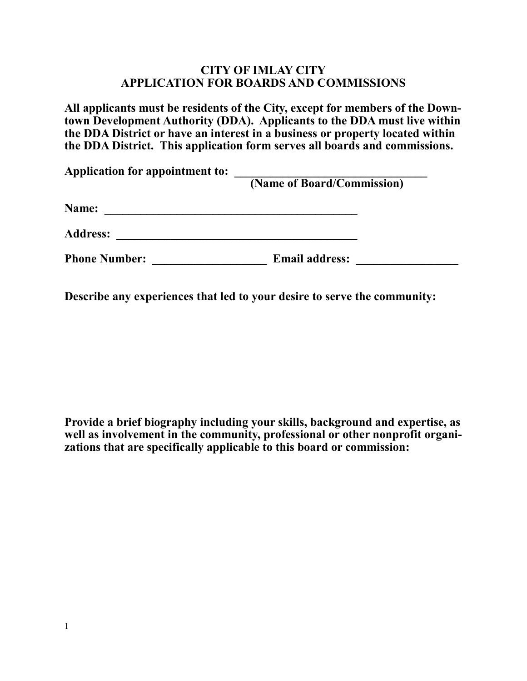## **CITY OF IMLAY CITY APPLICATION FOR BOARDS AND COMMISSIONS**

**All applicants must be residents of the City, except for members of the Downtown Development Authority (DDA). Applicants to the DDA must live within the DDA District or have an interest in a business or property located within the DDA District. This application form serves all boards and commissions.** 

| Application for appointment to: | (Name of Board/Commission) |  |
|---------------------------------|----------------------------|--|
| Name:                           |                            |  |
| <b>Address:</b>                 |                            |  |
| <b>Phone Number:</b>            | <b>Email address:</b>      |  |

**Describe any experiences that led to your desire to serve the community:**

**Provide a brief biography including your skills, background and expertise, as well as involvement in the community, professional or other nonprofit organizations that are specifically applicable to this board or commission:**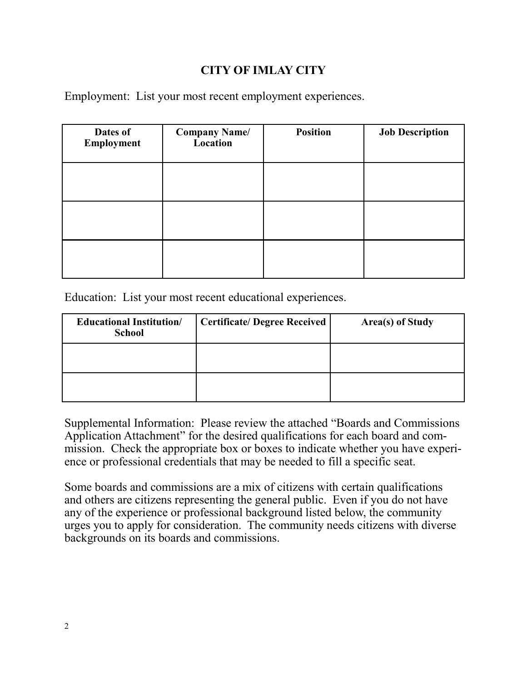# **CITY OF IMLAY CITY**

Employment: List your most recent employment experiences.

| Dates of<br>Employment | <b>Company Name/</b><br>Location | <b>Position</b> | <b>Job Description</b> |
|------------------------|----------------------------------|-----------------|------------------------|
|                        |                                  |                 |                        |
|                        |                                  |                 |                        |
|                        |                                  |                 |                        |

Education: List your most recent educational experiences.

| <b>Educational Institution/</b><br><b>School</b> | <b>Certificate/Degree Received</b> | Area(s) of Study |
|--------------------------------------------------|------------------------------------|------------------|
|                                                  |                                    |                  |
|                                                  |                                    |                  |

Supplemental Information: Please review the attached "Boards and Commissions Application Attachment" for the desired qualifications for each board and commission. Check the appropriate box or boxes to indicate whether you have experience or professional credentials that may be needed to fill a specific seat.

Some boards and commissions are a mix of citizens with certain qualifications and others are citizens representing the general public. Even if you do not have any of the experience or professional background listed below, the community urges you to apply for consideration. The community needs citizens with diverse backgrounds on its boards and commissions.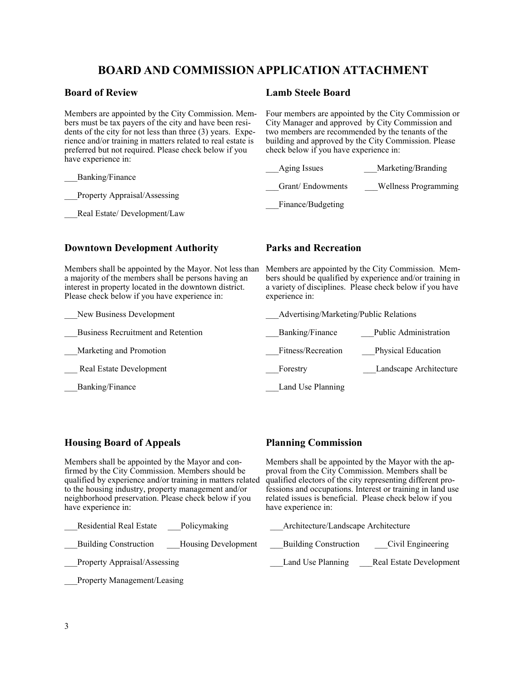## **BOARD AND COMMISSION APPLICATION ATTACHMENT**

#### **Board of Review**

Members are appointed by the City Commission. Members must be tax payers of the city and have been residents of the city for not less than three (3) years. Experience and/or training in matters related to real estate is preferred but not required. Please check below if you have experience in:

\_\_\_Banking/Finance

\_\_\_Property Appraisal/Assessing

Real Estate/ Development/Law

#### **Lamb Steele Board**

Four members are appointed by the City Commission or City Manager and approved by City Commission and two members are recommended by the tenants of the building and approved by the City Commission. Please check below if you have experience in:

| Aging Issues      | Marketing/Branding   |
|-------------------|----------------------|
| Grant/Endowments  | Wellness Programming |
| Finance/Budgeting |                      |

### **Downtown Development Authority**

Members shall be appointed by the Mayor. Not less than a majority of the members shall be persons having an interest in property located in the downtown district. Please check below if you have experience in:

New Business Development

\_\_\_Business Recruitment and Retention

\_\_\_Marketing and Promotion

Real Estate Development

\_\_\_Banking/Finance

## **Parks and Recreation**

Members are appointed by the City Commission. Members should be qualified by experience and/or training in a variety of disciplines. Please check below if you have experience in:

| Advertising/Marketing/Public Relations |                              |
|----------------------------------------|------------------------------|
| Banking/Finance                        | <b>Public Administration</b> |
| Fitness/Recreation                     | Physical Education           |
| Forestry                               | Landscape Architecture       |
| Land Use Planning                      |                              |

## **Housing Board of Appeals**

Members shall be appointed by the Mayor and confirmed by the City Commission. Members should be qualified by experience and/or training in matters related to the housing industry, property management and/or neighborhood preservation. Please check below if you have experience in:

Residential Real Estate Policymaking

Building Construction Housing Development

Property Appraisal/Assessing

Property Management/Leasing

### **Planning Commission**

Members shall be appointed by the Mayor with the approval from the City Commission. Members shall be qualified electors of the city representing different professions and occupations. Interest or training in land use related issues is beneficial. Please check below if you have experience in:

 \_\_\_Architecture/Landscape Architecture \_\_\_Building Construction \_\_\_Civil Engineering Land Use Planning Real Estate Development